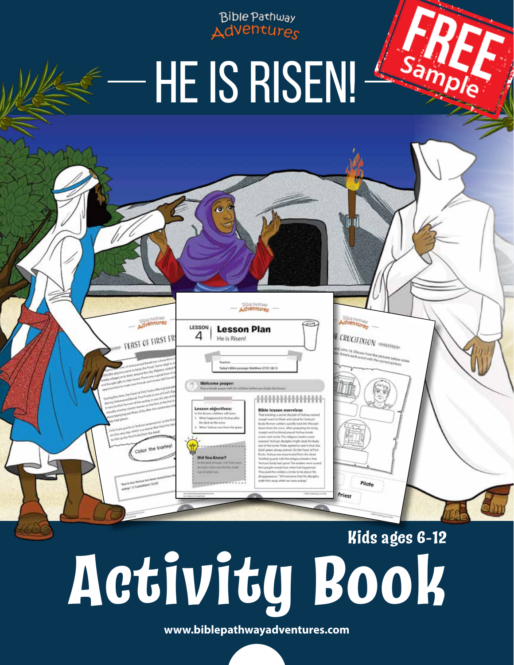Bible Pathway Adventures

Sar

CRUCIFIXION - ERREFEELD

Pilate

# HE IS RISEN!

Adventures

**Lesson Plan** 

He is Risen!

dyenture

**EAST OF FIRST FI** 

LESSON

4

esson objectives

## **Activity Book Kids ages 6-12**

www.biblepathwayadventures.com © BPA Publishing Ltd 2020 **www.biblepathwayadventures.com**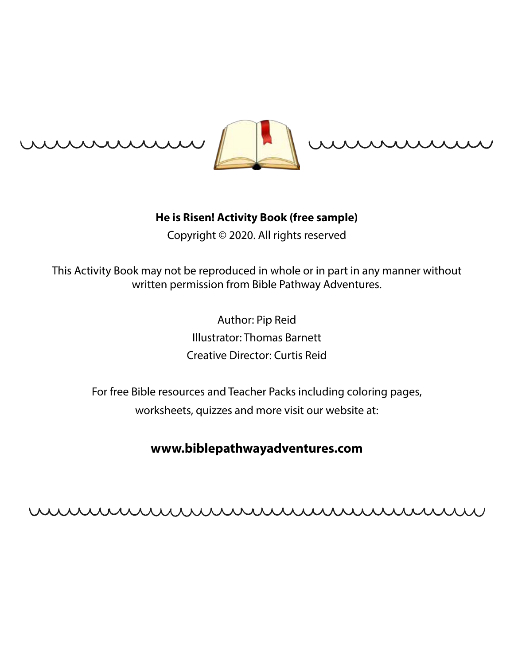



#### **He is Risen! Activity Book (free sample)**

Copyright © 2020. All rights reserved

This Activity Book may not be reproduced in whole or in part in any manner without written permission from Bible Pathway Adventures.

> Author: Pip Reid Illustrator: Thomas Barnett Creative Director: Curtis Reid

For free Bible resources and Teacher Packs including coloring pages, worksheets, quizzes and more visit our website at:

### **www.biblepathwayadventures.com**

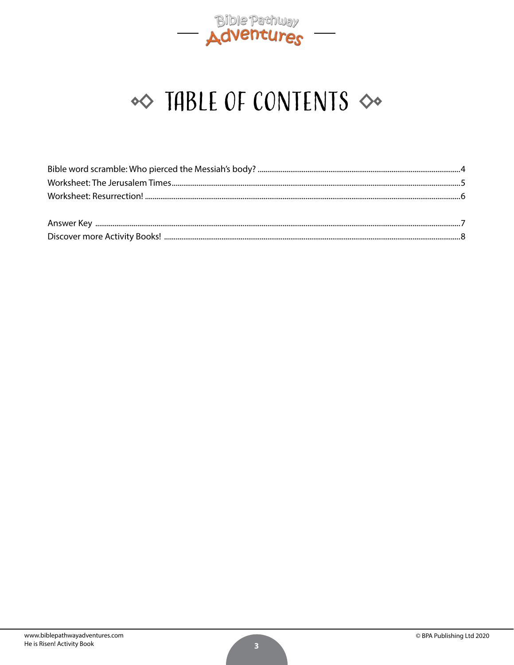

### $\infty$  TABLE OF CONTENTS  $\infty$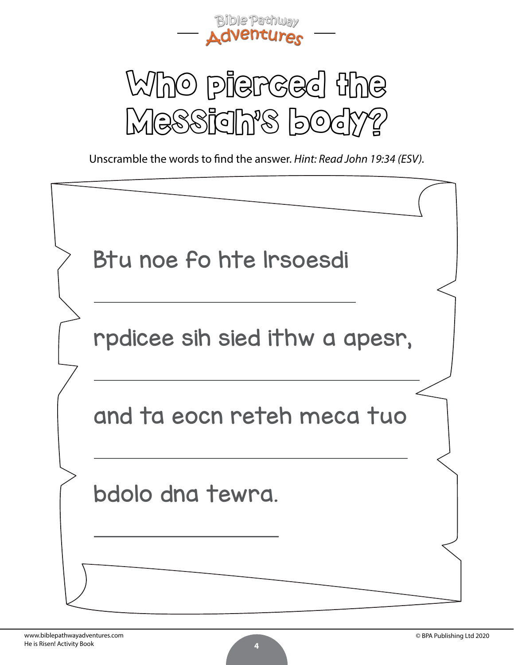



Unscramble the words to find the answer. *Hint: Read John 19:34 (ESV).*

| Btu noe fo hte Irsoesdi        |  |
|--------------------------------|--|
| rpdicee sih sied ithw a apesr, |  |
| and ta eocn reteh meca tuo     |  |
| bdolo dna tewra.               |  |
|                                |  |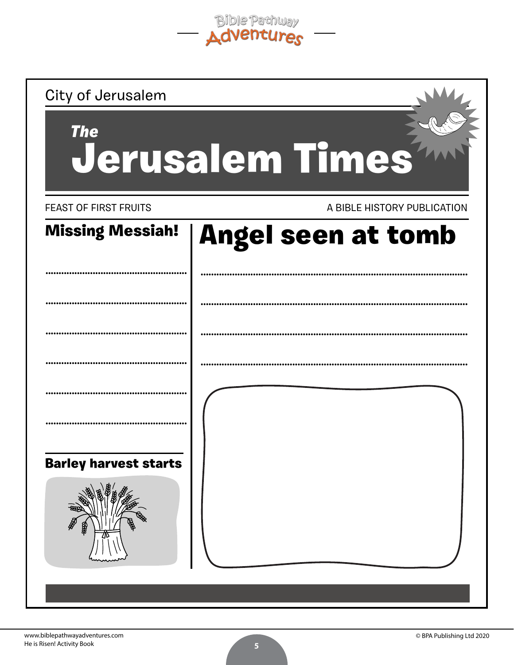Bible Pathway

| City of Jerusalem             |                             |  |  |  |
|-------------------------------|-----------------------------|--|--|--|
| <b>The</b><br>Jerusalem Times |                             |  |  |  |
| <b>FEAST OF FIRST FRUITS</b>  | A BIBLE HISTORY PUBLICATION |  |  |  |
| <b>Missing Messiah!</b>       | <b>Angel seen at tomb</b>   |  |  |  |
|                               |                             |  |  |  |
|                               |                             |  |  |  |
|                               |                             |  |  |  |
|                               |                             |  |  |  |
|                               |                             |  |  |  |
| <b>Barley harvest starts</b>  |                             |  |  |  |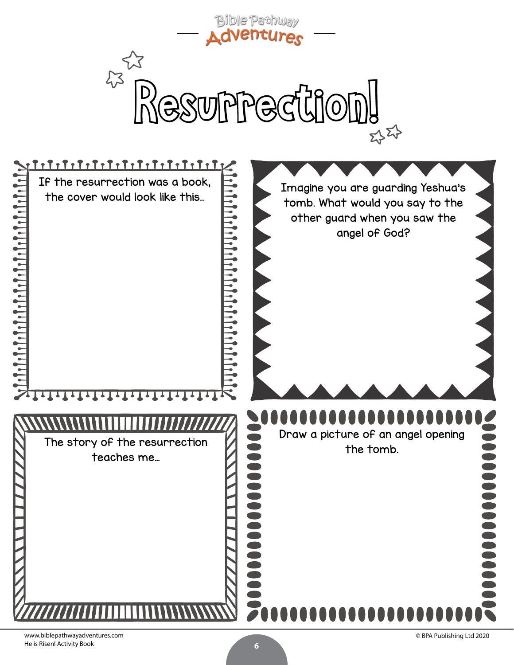



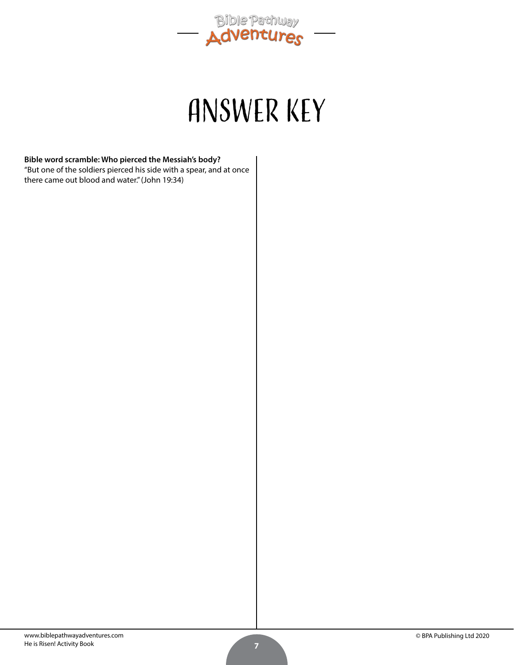

### ANSWER KEY

#### **Bible word scramble: Who pierced the Messiah's body?** "But one of the soldiers pierced his side with a spear, and at once

there came out blood and water." (John 19:34)